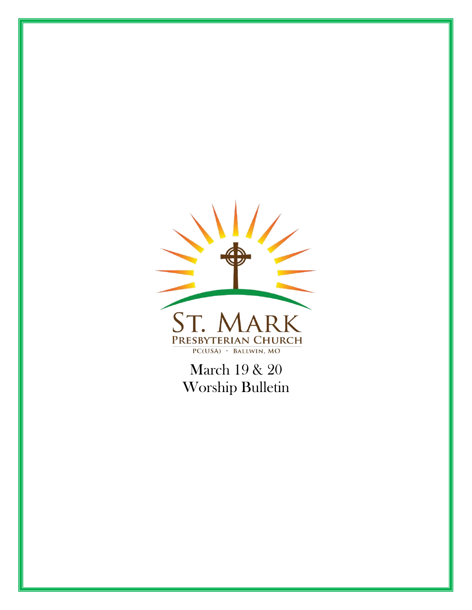

March 19 & 20 Worship Bulletin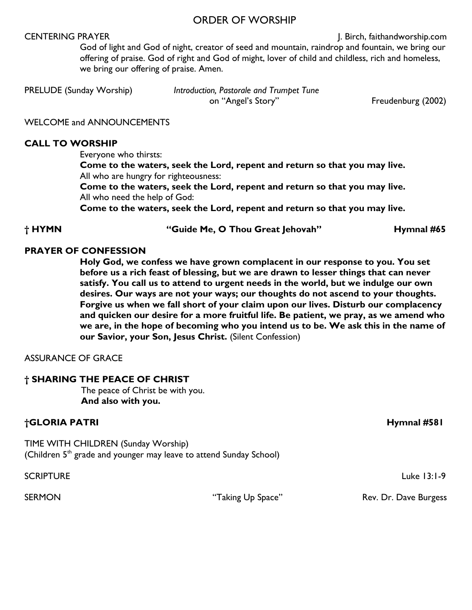#### ORDER OF WORSHIP

CENTERING PRAYER **CENTERING PRAYER J. Birch, faithandworship.com** God of light and God of night, creator of seed and mountain, raindrop and fountain, we bring our offering of praise. God of right and God of might, lover of child and childless, rich and homeless, we bring our offering of praise. Amen.

PRELUDE (Sunday Worship) *Introduction, Pastorale and Trumpet Tune* on "Angel's Story" Freudenburg (2002)

WELCOME and ANNOUNCEMENTS

#### **CALL TO WORSHIP**

Everyone who thirsts:

**Come to the waters, seek the Lord, repent and return so that you may live.** All who are hungry for righteousness:

**Come to the waters, seek the Lord, repent and return so that you may live.** All who need the help of God:

**Come to the waters, seek the Lord, repent and return so that you may live.**

**† HYMN "Guide Me, O Thou Great Jehovah" Hymnal #65**

#### **PRAYER OF CONFESSION**

**Holy God, we confess we have grown complacent in our response to you. You set before us a rich feast of blessing, but we are drawn to lesser things that can never satisfy. You call us to attend to urgent needs in the world, but we indulge our own desires. Our ways are not your ways; our thoughts do not ascend to your thoughts. Forgive us when we fall short of your claim upon our lives. Disturb our complacency and quicken our desire for a more fruitful life. Be patient, we pray, as we amend who we are, in the hope of becoming who you intend us to be. We ask this in the name of our Savior, your Son, Jesus Christ.** (Silent Confession)

ASSURANCE OF GRACE

#### **† SHARING THE PEACE OF CHRIST**

The peace of Christ be with you. **And also with you.**

#### **†GLORIA PATRI Hymnal #581**

TIME WITH CHILDREN (Sunday Worship) (Children  $5<sup>th</sup>$  grade and younger may leave to attend Sunday School)

SCRIPTURE Luke 13:1-9

SERMON **EXAMPLE SERMON** "Taking Up Space" Rev. Dr. Dave Burgess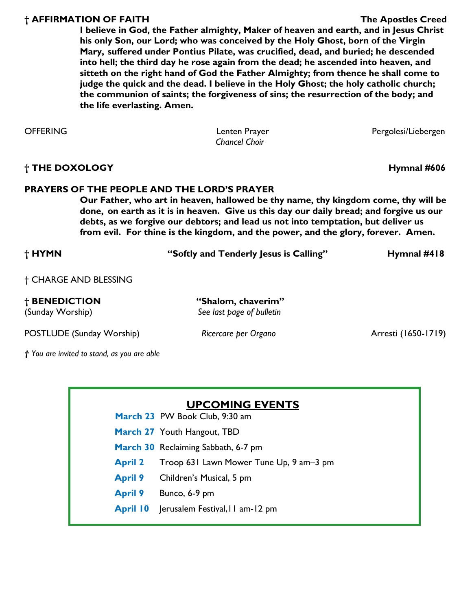#### **† AFFIRMATION OF FAITH The Apostles Creed**

**I believe in God, the Father almighty, Maker of heaven and earth, and in Jesus Christ his only Son, our Lord; who was conceived by the Holy Ghost, born of the Virgin Mary, suffered under Pontius Pilate, was crucified, dead, and buried; he descended into hell; the third day he rose again from the dead; he ascended into heaven, and sitteth on the right hand of God the Father Almighty; from thence he shall come to judge the quick and the dead. I believe in the Holy Ghost; the holy catholic church; the communion of saints; the forgiveness of sins; the resurrection of the body; and the life everlasting. Amen.** 

| <b>OFFERING</b> |  |
|-----------------|--|
|-----------------|--|

*Chancel Choir*

Lenten Prayer **DEFERING Lenten Prayer** Pergolesi/Liebergen

**† THE DOXOLOGY Hymnal #606**

#### **PRAYERS OF THE PEOPLE AND THE LORD'S PRAYER**

**Our Father, who art in heaven, hallowed be thy name, thy kingdom come, thy will be done, on earth as it is in heaven. Give us this day our daily bread; and forgive us our debts, as we forgive our debtors; and lead us not into temptation, but deliver us from evil. For thine is the kingdom, and the power, and the glory, forever. Amen.** 

| † HYMN                | "Softly and Tenderly Jesus is Calling" | Hymnal $#418$ |
|-----------------------|----------------------------------------|---------------|
| + CHARGE AND RIFSSING |                                        |               |

POSTLUDE (Sunday Worship) **Ricercare per Organo Arresti (1650-1719**)

*† You are invited to stand, as you are able* 

#### **UPCOMING EVENTS**

- **March 23** PW Book Club, 9:30 am
- **March 27** Youth Hangout, TBD
- **March 30** Reclaiming Sabbath, 6-7 pm
- **April 2** Troop 631 Lawn Mower Tune Up, 9 am–3 pm
- **April 9** Children's Musical, 5 pm
- **April 9** Bunco, 6-9 pm
- **April 10** Jerusalem Festival,11 am-12 pm

**† BENEDICTION "Shalom, chaverim"**  (Sunday Worship) *See last page of bulletin*

† CHARGE AND BLESSING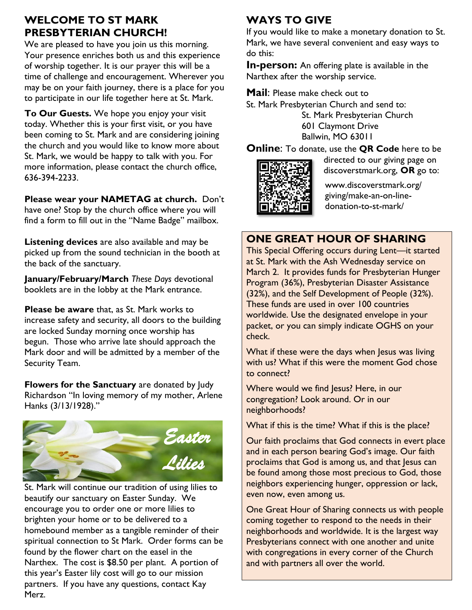## **WELCOME TO ST MARK PRESBYTERIAN CHURCH!**

We are pleased to have you join us this morning. Your presence enriches both us and this experience of worship together. It is our prayer this will be a time of challenge and encouragement. Wherever you may be on your faith journey, there is a place for you to participate in our life together here at St. Mark.

**To Our Guests.** We hope you enjoy your visit today. Whether this is your first visit, or you have been coming to St. Mark and are considering joining the church and you would like to know more about St. Mark, we would be happy to talk with you. For more information, please contact the church office, 636-394-2233.

**Please wear your NAMETAG at church.** Don't have one? Stop by the church office where you will find a form to fill out in the "Name Badge" mailbox.

**Listening devices** are also available and may be picked up from the sound technician in the booth at the back of the sanctuary.

**January/February/March** *These Days* devotional booklets are in the lobby at the Mark entrance.

**Please be aware** that, as St. Mark works to increase safety and security, all doors to the building are locked Sunday morning once worship has begun. Those who arrive late should approach the Mark door and will be admitted by a member of the Security Team.

**Flowers for the Sanctuary** are donated by Judy Richardson "In loving memory of my mother, Arlene Hanks (3/13/1928)."



St. Mark will continue our tradition of using lilies to beautify our sanctuary on Easter Sunday. We encourage you to order one or more lilies to brighten your home or to be delivered to a homebound member as a tangible reminder of their spiritual connection to St Mark. Order forms can be found by the flower chart on the easel in the Narthex. The cost is \$8.50 per plant. A portion of this year's Easter lily cost will go to our mission partners. If you have any questions, contact Kay Merz.

# **WAYS TO GIVE**

If you would like to make a monetary donation to St. Mark, we have several convenient and easy ways to do this:

**In-person:** An offering plate is available in the Narthex after the worship service.

**Mail**: Please make check out to

St. Mark Presbyterian Church and send to:

St. Mark Presbyterian Church 601 Claymont Drive Ballwin, MO 63011

**Online**: To donate, use the **QR Code** here to be



directed to our giving page on discoverstmark.org, **OR** go to:

www.discoverstmark.org/ giving/make-an-on-linedonation-to-st-mark/

## **ONE GREAT HOUR OF SHARING**

This Special Offering occurs during Lent—it started at St. Mark with the Ash Wednesday service on March 2. It provides funds for Presbyterian Hunger Program (36%), Presbyterian Disaster Assistance (32%), and the Self Development of People (32%). These funds are used in over 100 countries worldwide. Use the designated envelope in your packet, or you can simply indicate OGHS on your check.

What if these were the days when Jesus was living with us? What if this were the moment God chose to connect?

Where would we find Jesus? Here, in our congregation? Look around. Or in our neighborhoods?

What if this is the time? What if this is the place?

Our faith proclaims that God connects in evert place and in each person bearing God's image. Our faith proclaims that God is among us, and that Jesus can be found among those most precious to God, those neighbors experiencing hunger, oppression or lack, even now, even among us.

One Great Hour of Sharing connects us with people coming together to respond to the needs in their neighborhoods and worldwide. It is the largest way Presbyterians connect with one another and unite with congregations in every corner of the Church and with partners all over the world.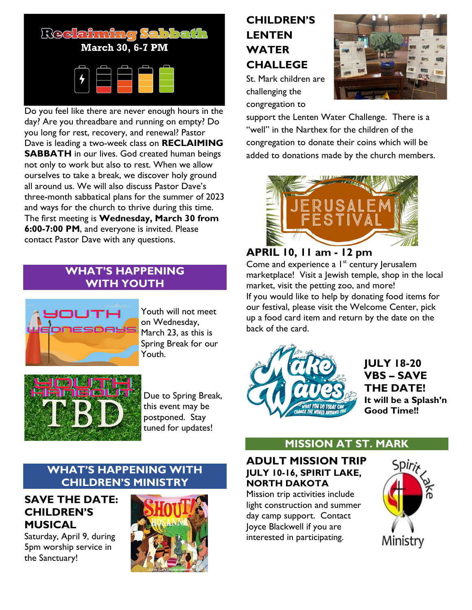

Do you feel like there are never enough hours in the day? Are you threadbare and running on empty? Do you long for rest, recovery, and renewal? Pastor Dave is leading a two-week class on **RECLAIMING SABBATH** in our lives. God created human beings not only to work but also to rest. When we allow ourselves to take a break, we discover holy ground all around us. We will also discuss Pastor Dave's three-month sabbatical plans for the summer of 2023 and ways for the church to thrive during this time. The first meeting is **Wednesday, March 30 from 6:00-7:00 PM**, and everyone is invited. Please contact Pastor Dave with any questions.

#### **WHAT'S HAPPENING WITH YOUTH**



Youth will not meet on Wednesday, March 23, as this is Spring Break for our Youth.



Due to Spring Break, this event may be postponed. Stay tuned for updates!

# **CHILDREN'S LENTEN WATER CHALLEGE**

St. Mark children are challenging the congregation to



support the Lenten Water Challenge. There is a "well" in the Narthex for the children of the congregation to donate their coins which will be added to donations made by the church members.



## **APRIL 10, 11 am - 12 pm**

Come and experience a  $I<sup>st</sup>$  century Jerusalem marketplace! Visit a Jewish temple, shop in the local market, visit the petting zoo, and more! If you would like to help by donating food items for our festival, please visit the Welcome Center, pick up a food card item and return by the date on the back of the card.



**JULY 18-20 VBS – SAVE THE DATE! It will be a Splash'n Good Time!!**

## **MISSION AT ST. MARK**

#### **ADULT MISSION TRIP JULY 10-16, SPIRIT LAKE, NORTH DAKOTA**

Mission trip activities include light construction and summer day camp support. Contact Joyce Blackwell if you are interested in participating.



#### **WHAT'S HAPPENING WITH CHILDREN'S MINISTRY**

#### **SAVE THE DATE: CHILDREN'S MUSICAL**

Saturday, April 9, during 5pm worship service in the Sanctuary!

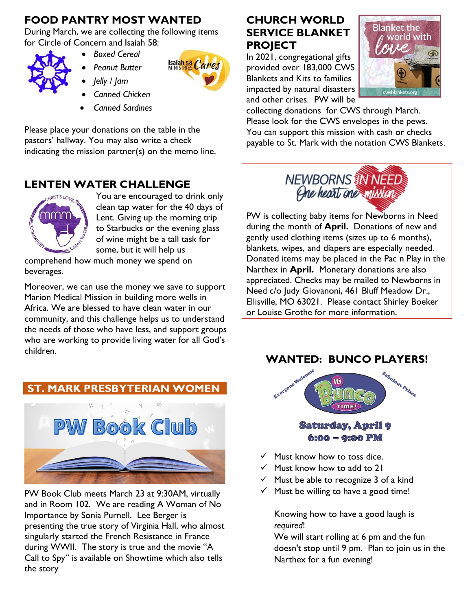## **FOOD PANTRY MOST WANTED**

During March, we are collecting the following items for Circle of Concern and Isaiah 58:



- *Boxed Cereal* 
	- *Peanut Butter*
	- *Jelly / Jam*
	- *Canned Chicken*
- *Canned Sardines*

Please place your donations on the table in the pastors' hallway. You may also write a check indicating the mission partner(s) on the memo line.

## **LENTEN WATER CHALLENGE**



You are encouraged to drink only clean tap water for the 40 days of Lent. Giving up the morning trip to Starbucks or the evening glass of wine might be a tall task for some, but it will help us

**Isaiah 58 Cares** 

comprehend how much money we spend on beverages.

Moreover, we can use the money we save to support Marion Medical Mission in building more wells in Africa. We are blessed to have clean water in our community, and this challenge helps us to understand the needs of those who have less, and support groups who are working to provide living water for all God's children.

## **ST. MARK PRESBYTERIAN WOMEN**



PW Book Club meets March 23 at 9:30AM, virtually and in Room 102. We are reading A Woman of No Importance by Sonia Purnell. Lee Berger is presenting the true story of Virginia Hall, who almost singularly started the French Resistance in France during WWII. The story is true and the movie "A Call to Spy" is available on Showtime which also tells the story

## **CHURCH WORLD SERVICE BLANKET PROJECT**

In 2021, congregational gifts provided over 183,000 CWS Blankets and Kits to families impacted by natural disasters and other crises. PW will be



collecting donations for CWS through March. Please look for the CWS envelopes in the pews. You can support this mission with cash or checks payable to St. Mark with the notation CWS Blankets.



PW is collecting baby items for Newborns in Need during the month of **April.** Donations of new and gently used clothing items (sizes up to 6 months), blankets, wipes, and diapers are especially needed. Donated items may be placed in the Pac n Play in the Narthex in **April.** Monetary donations are also appreciated. Checks may be mailed to Newborns in Need c/o Judy Giovanoni, 461 Bluff Meadow Dr., Ellisville, MO 63021. Please contact Shirley Boeker or Louise Grothe for more information.

## **WANTED: BUNCO PLAYERS!**



- $\checkmark$  Must know how to toss dice.
- ✓ Must know how to add to 21
- $\checkmark$  Must be able to recognize 3 of a kind
- $\checkmark$  Must be willing to have a good time!

Knowing how to have a good laugh is *required*!

We will start rolling at 6 pm and the fun doesn't stop until 9 pm. Plan to join us in the Narthex for a fun evening!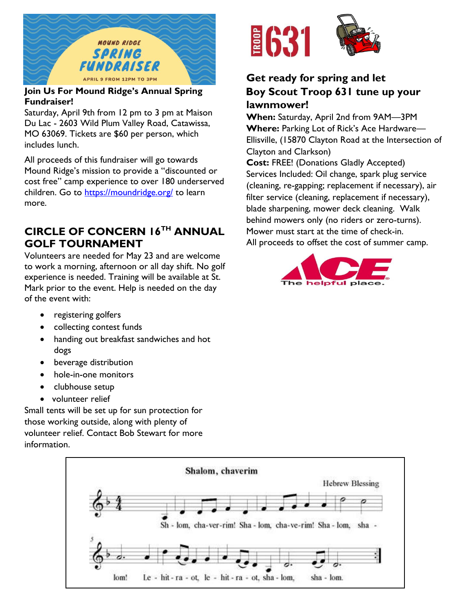

#### **Join Us For Mound Ridge's Annual Spring Fundraiser!**

Saturday, April 9th from 12 pm to 3 pm at Maison Du Lac - 2603 Wild Plum Valley Road, Catawissa, MO 63069. Tickets are \$60 per person, which includes lunch.

All proceeds of this fundraiser will go towards Mound Ridge's mission to provide a "discounted or cost free" camp experience to over 180 underserved children. Go to<https://moundridge.org/> to learn more.

## **CIRCLE OF CONCERN 16TH ANNUAL GOLF TOURNAMENT**

Volunteers are needed for May 23 and are welcome to work a morning, afternoon or all day shift. No golf experience is needed. Training will be available at St. Mark prior to the event. Help is needed on the day of the event with:

- registering golfers
- collecting contest funds
- handing out breakfast sandwiches and hot dogs
- beverage distribution
- hole-in-one monitors
- clubhouse setup
- volunteer relief

Small tents will be set up for sun protection for those working outside, along with plenty of volunteer relief. Contact Bob Stewart for more information.



## **Get ready for spring and let Boy Scout Troop 631 tune up your lawnmower!**

**When:** Saturday, April 2nd from 9AM—3PM **Where:** Parking Lot of Rick's Ace Hardware— Ellisville, (15870 Clayton Road at the Intersection of Clayton and Clarkson)

**Cost:** FREE! (Donations Gladly Accepted) Services Included: Oil change, spark plug service (cleaning, re-gapping; replacement if necessary), air filter service (cleaning, replacement if necessary), blade sharpening, mower deck cleaning. Walk behind mowers only (no riders or zero-turns). Mower must start at the time of check-in. All proceeds to offset the cost of summer camp.